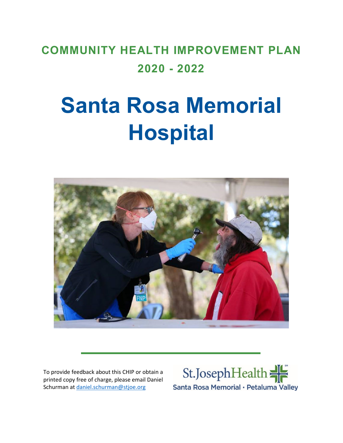# **COMMUNITY HEALTH IMPROVEMENT PLAN 2020 - 2022**

# **Santa Rosa Memorial Hospital**



To provide feedback about this CHIP or obtain a printed copy free of charge, please email Daniel Schurman at [daniel.schurman@stjoe.org](mailto:daniel.schurman@stjoe.org)

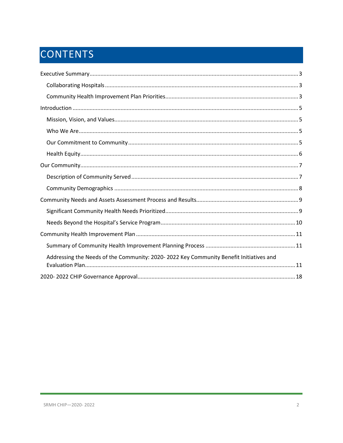# CONTENTS

| Addressing the Needs of the Community: 2020-2022 Key Community Benefit Initiatives and |
|----------------------------------------------------------------------------------------|
|                                                                                        |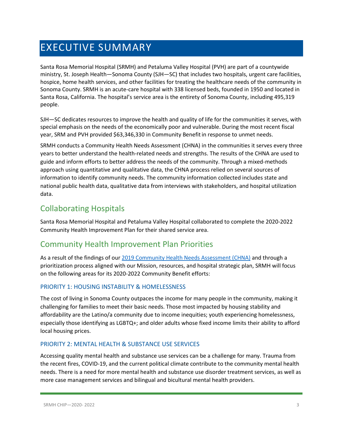# <span id="page-2-0"></span>EXECUTIVE SUMMARY

Santa Rosa Memorial Hospital (SRMH) and Petaluma Valley Hospital (PVH) are part of a countywide ministry, St. Joseph Health—Sonoma County (SJH—SC) that includes two hospitals, urgent care facilities, hospice, home health services, and other facilities for treating the healthcare needs of the community in Sonoma County. SRMH is an acute-care hospital with 338 licensed beds, founded in 1950 and located in Santa Rosa, California. The hospital's service area is the entirety of Sonoma County, including 495,319 people.

SJH—SC dedicates resources to improve the health and quality of life for the communities it serves, with special emphasis on the needs of the economically poor and vulnerable. During the most recent fiscal year, SRM and PVH provided \$63,346,330 in Community Benefitin response to unmet needs.

SRMH conducts a Community Health Needs Assessment (CHNA) in the communities it serves every three years to better understand the health-related needs and strengths. The results of the CHNA are used to guide and inform efforts to better address the needs of the community. Through a mixed-methods approach using quantitative and qualitative data, the CHNA process relied on several sources of information to identify community needs. The community information collected includes state and national public health data, qualitative data from interviews with stakeholders, and hospital utilization data.

# <span id="page-2-1"></span>Collaborating Hospitals

Santa Rosa Memorial Hospital and Petaluma Valley Hospital collaborated to complete the 2020-2022 Community Health Improvement Plan for their shared service area.

# <span id="page-2-2"></span>Community Health Improvement Plan Priorities

As a result of the findings of our [2019 Community Health Needs Assessment \(CHNA\)](https://www.providence.org/-/media/Project/psjh/providence/socal/Files/about/community-benefit/reports/2019chna-sonomacounty.pdf?la=en&hash=FF8B2A7021D9CDBC4EE6FF1446254E4B) and through a prioritization process aligned with our Mission, resources, and hospital strategic plan, SRMH will focus on the following areas for its 2020-2022 Community Benefit efforts:

#### PRIORITY 1: HOUSING INSTABILITY & HOMELESSNESS

The cost of living in Sonoma County outpaces the income for many people in the community, making it challenging for families to meet their basic needs. Those most impacted by housing stability and affordability are the Latino/a community due to income inequities; youth experiencing homelessness, especially those identifying as LGBTQ+; and older adults whose fixed income limits their ability to afford local housing prices.

#### PRIORITY 2: MENTAL HEALTH & SUBSTANCE USE SERVICES

Accessing quality mental health and substance use services can be a challenge for many. Trauma from the recent fires, COVID-19, and the current political climate contribute to the community mental health needs. There is a need for more mental health and substance use disorder treatment services, as well as more case management services and bilingual and bicultural mental health providers.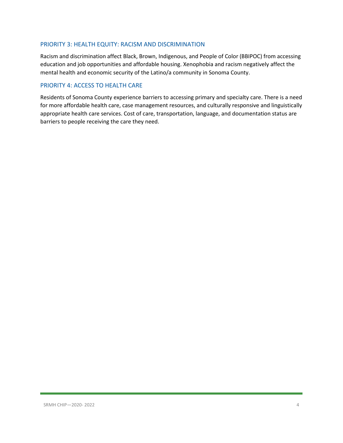#### PRIORITY 3: HEALTH EQUITY: RACISM AND DISCRIMINATION

Racism and discrimination affect Black, Brown, Indigenous, and People of Color (BBIPOC) from accessing education and job opportunities and affordable housing. Xenophobia and racism negatively affect the mental health and economic security of the Latino/a community in Sonoma County.

#### PRIORITY 4: ACCESS TO HEALTH CARE

Residents of Sonoma County experience barriers to accessing primary and specialty care. There is a need for more affordable health care, case management resources, and culturally responsive and linguistically appropriate health care services. Cost of care, transportation, language, and documentation status are barriers to people receiving the care they need.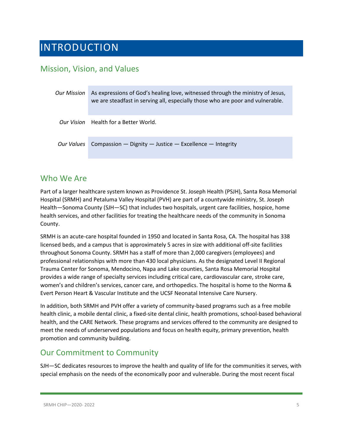# <span id="page-4-0"></span>INTRODUCTION

### <span id="page-4-1"></span>Mission, Vision, and Values

| Our Mission | As expressions of God's healing love, witnessed through the ministry of Jesus,<br>we are steadfast in serving all, especially those who are poor and vulnerable. |
|-------------|------------------------------------------------------------------------------------------------------------------------------------------------------------------|
|             | <i>Our Vision</i> Health for a Better World.                                                                                                                     |
| Our Values  | Compassion $-$ Dignity $-$ Justice $-$ Excellence $-$ Integrity                                                                                                  |

### <span id="page-4-2"></span>Who We Are

Part of a larger healthcare system known as Providence St. Joseph Health (PSJH), Santa Rosa Memorial Hospital (SRMH) and Petaluma Valley Hospital (PVH) are part of a countywide ministry, St. Joseph Health—Sonoma County (SJH—SC) that includes two hospitals, urgent care facilities, hospice, home health services, and other facilities for treating the healthcare needs of the community in Sonoma County.

SRMH is an acute-care hospital founded in 1950 and located in Santa Rosa, CA. The hospital has 338 licensed beds, and a campus that is approximately 5 acres in size with additional off-site facilities throughout Sonoma County. SRMH has a staff of more than 2,000 caregivers (employees) and professional relationships with more than 430 local physicians. As the designated Level II Regional Trauma Center for Sonoma, Mendocino, Napa and Lake counties, Santa Rosa Memorial Hospital provides a wide range of specialty services including critical care, cardiovascular care, stroke care, women's and children's services, cancer care, and orthopedics. The hospital is home to the Norma & Evert Person Heart & Vascular Institute and the UCSF Neonatal Intensive Care Nursery.

In addition, both SRMH and PVH offer a variety of community-based programs such as a free mobile health clinic, a mobile dental clinic, a fixed-site dental clinic, health promotions, school-based behavioral health, and the CARE Network. These programs and services offered to the community are designed to meet the needs of underserved populations and focus on health equity, primary prevention, health promotion and community building.

# <span id="page-4-3"></span>Our Commitment to Community

SJH—SC dedicates resources to improve the health and quality of life for the communities it serves, with special emphasis on the needs of the economically poor and vulnerable. During the most recent fiscal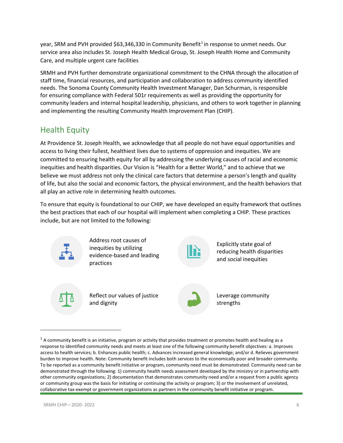year, SRM and PVH provided \$63,346,330 in Community Benefit<sup>[1](#page-5-1)</sup> in response to unmet needs. Our service area also includes St. Joseph Health Medical Group, St. Joseph Health Home and Community Care, and multiple urgent care facilities

SRMH and PVH further demonstrate organizational commitment to the CHNA through the allocation of staff time, financial resources, and participation and collaboration to address community identified needs. The Sonoma County Community Health Investment Manager, Dan Schurman, is responsible for ensuring compliance with Federal 501r requirements as well as providing the opportunity for community leaders and internal hospital leadership, physicians, and others to work together in planning and implementing the resulting Community Health Improvement Plan (CHIP).

# <span id="page-5-0"></span>Health Equity

At Providence St. Joseph Health, we acknowledge that all people do not have equal opportunities and access to living their fullest, healthiest lives due to systems of oppression and inequities. We are committed to ensuring health equity for all by addressing the underlying causes of racial and economic inequities and health disparities. Our Vision is "Health for a Better World," and to achieve that we believe we must address not only the clinical care factors that determine a person's length and quality of life, but also the social and economic factors, the physical environment, and the health behaviors that all play an active role in determining health outcomes.

To ensure that equity is foundational to our CHIP, we have developed an equity framework that outlines the best practices that each of our hospital will implement when completing a CHIP. These practices include, but are not limited to the following:



<span id="page-5-1"></span> $1$  A community benefit is an initiative, program or activity that provides treatment or promotes health and healing as a response to identified community needs and meets at least one of the following community benefit objectives: a. Improves access to health services; b. Enhances public health; c. Advances increased general knowledge; and/or d. Relieves government burden to improve health. Note: Community benefit includes both services to the economically poor and broader community. To be reported as a community benefit initiative or program, community need must be demonstrated. Community need can be demonstrated through the following: 1) community health needs assessment developed by the ministry or in partnership with other community organizations; 2) documentation that demonstrates community need and/or a request from a public agency or community group was the basis for initiating or continuing the activity or program; 3) or the involvement of unrelated, collaborative tax-exempt or government organizations as partners in the community benefit initiative or program.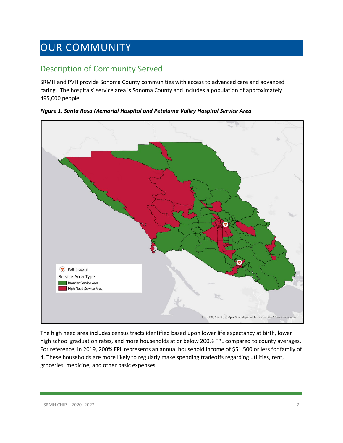# <span id="page-6-0"></span>OUR COMMUNITY

# <span id="page-6-1"></span>Description of Community Served

SRMH and PVH provide Sonoma County communities with access to advanced care and advanced caring. The hospitals' service area is Sonoma County and includes a population of approximately 495,000 people.



*Figure 1. Santa Rosa Memorial Hospital and Petaluma Valley Hospital Service Area*

The high need area includes census tracts identified based upon lower life expectancy at birth, lower high school graduation rates, and more households at or below 200% FPL compared to county averages. For reference, in 2019, 200% FPL represents an annual household income of \$51,500 or less for family of 4. These households are more likely to regularly make spending tradeoffs regarding utilities, rent, groceries, medicine, and other basic expenses.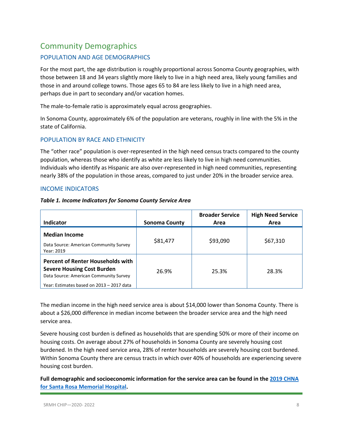# <span id="page-7-0"></span>Community Demographics

#### POPULATION AND AGE DEMOGRAPHICS

For the most part, the age distribution is roughly proportional across Sonoma County geographies, with those between 18 and 34 years slightly more likely to live in a high need area, likely young families and those in and around college towns. Those ages 65 to 84 are less likely to live in a high need area, perhaps due in part to secondary and/or vacation homes.

The male-to-female ratio is approximately equal across geographies.

In Sonoma County, approximately 6% of the population are veterans, roughly in line with the 5% in the state of California.

#### POPULATION BY RACE AND ETHNICITY

The "other race" population is over-represented in the high need census tracts compared to the county population, whereas those who identify as white are less likely to live in high need communities. Individuals who identify as Hispanic are also over-represented in high need communities, representing nearly 38% of the population in those areas, compared to just under 20% in the broader service area.

#### INCOME INDICATORS

| Table 1. Income Indicators for Sonoma County Service Area |
|-----------------------------------------------------------|
|-----------------------------------------------------------|

| <b>Indicator</b>                                                                                                                                                     | <b>Sonoma County</b> | <b>Broader Service</b><br>Area | <b>High Need Service</b><br>Area |
|----------------------------------------------------------------------------------------------------------------------------------------------------------------------|----------------------|--------------------------------|----------------------------------|
| <b>Median Income</b><br>Data Source: American Community Survey<br>Year: 2019                                                                                         | \$81,477             | \$93,090                       | \$67,310                         |
| <b>Percent of Renter Households with</b><br><b>Severe Housing Cost Burden</b><br>Data Source: American Community Survey<br>Year: Estimates based on 2013 - 2017 data | 26.9%                | 25.3%                          | 28.3%                            |

The median income in the high need service area is about \$14,000 lower than Sonoma County. There is about a \$26,000 difference in median income between the broader service area and the high need service area.

Severe housing cost burden is defined as households that are spending 50% or more of their income on housing costs. On average about 27% of households in Sonoma County are severely housing cost burdened. In the high need service area, 28% of renter households are severely housing cost burdened. Within Sonoma County there are census tracts in which over 40% of households are experiencing severe housing cost burden.

**Full demographic and socioeconomic information for the service area can be found in the [2019 CHNA](https://www.providence.org/-/media/Project/psjh/providence/socal/Files/about/community-benefit/reports/2019chna-sonomacounty.pdf?la=en&hash=FF8B2A7021D9CDBC4EE6FF1446254E4B)  [for Santa Rosa Memorial Hospital.](https://www.providence.org/-/media/Project/psjh/providence/socal/Files/about/community-benefit/reports/2019chna-sonomacounty.pdf?la=en&hash=FF8B2A7021D9CDBC4EE6FF1446254E4B)**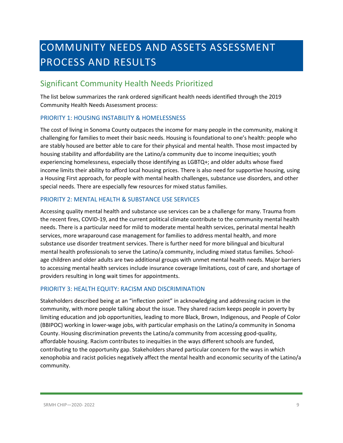# <span id="page-8-0"></span>COMMUNITY NEEDS AND ASSETS ASSESSMENT PROCESS AND RESULTS

# <span id="page-8-1"></span>Significant Community Health Needs Prioritized

The list below summarizes the rank ordered significant health needs identified through the 2019 Community Health Needs Assessment process:

#### PRIORITY 1: HOUSING INSTABILITY & HOMELESSNESS

The cost of living in Sonoma County outpaces the income for many people in the community, making it challenging for families to meet their basic needs. Housing is foundational to one's health: people who are stably housed are better able to care for their physical and mental health. Those most impacted by housing stability and affordability are the Latino/a community due to income inequities; youth experiencing homelessness, especially those identifying as LGBTQ+; and older adults whose fixed income limits their ability to afford local housing prices. There is also need for supportive housing, using a Housing First approach, for people with mental health challenges, substance use disorders, and other special needs. There are especially few resources for mixed status families.

#### PRIORITY 2: MENTAL HEALTH & SUBSTANCE USE SERVICES

Accessing quality mental health and substance use services can be a challenge for many. Trauma from the recent fires, COVID-19, and the current political climate contribute to the community mental health needs. There is a particular need for mild to moderate mental health services, perinatal mental health services, more wraparound case management for families to address mental health, and more substance use disorder treatment services. There is further need for more bilingual and bicultural mental health professionals to serve the Latino/a community, including mixed status families. Schoolage children and older adults are two additional groups with unmet mental health needs. Major barriers to accessing mental health services include insurance coverage limitations, cost of care, and shortage of providers resulting in long wait times for appointments.

#### PRIORITY 3: HEALTH EQUITY: RACISM AND DISCRIMINATION

Stakeholders described being at an "inflection point" in acknowledging and addressing racism in the community, with more people talking about the issue. They shared racism keeps people in poverty by limiting education and job opportunities, leading to more Black, Brown, Indigenous, and People of Color (BBIPOC) working in lower-wage jobs, with particular emphasis on the Latino/a community in Sonoma County. Housing discrimination prevents the Latino/a community from accessing good-quality, affordable housing. Racism contributes to inequities in the ways different schools are funded, contributing to the opportunity gap. Stakeholders shared particular concern for the ways in which xenophobia and racist policies negatively affect the mental health and economic security of the Latino/a community.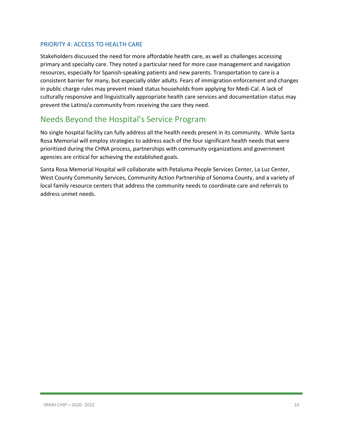#### PRIORITY 4: ACCESS TO HEALTH CARE

Stakeholders discussed the need for more affordable health care, as well as challenges accessing primary and specialty care. They noted a particular need for more case management and navigation resources, especially for Spanish-speaking patients and new parents. Transportation to care is a consistent barrier for many, but especially older adults. Fears of immigration enforcement and changes in public charge rules may prevent mixed status households from applying for Medi-Cal. A lack of culturally responsive and linguistically appropriate health care services and documentation status may prevent the Latino/a community from receiving the care they need.

### <span id="page-9-0"></span>Needs Beyond the Hospital's Service Program

No single hospital facility can fully address all the health needs present in its community. While Santa Rosa Memorial will employ strategies to address each of the four significant health needs that were prioritized during the CHNA process, partnerships with community organizations and government agencies are critical for achieving the established goals.

Santa Rosa Memorial Hospital will collaborate with Petaluma People Services Center, La Luz Center, West County Community Services, Community Action Partnership of Sonoma County, and a variety of local family resource centers that address the community needs to coordinate care and referrals to address unmet needs.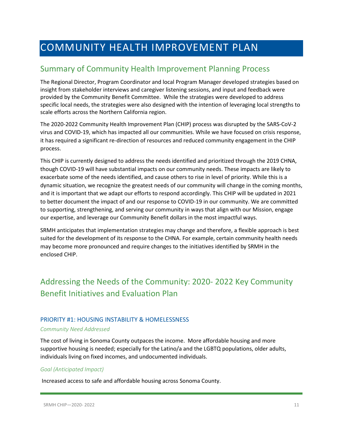# <span id="page-10-0"></span>COMMUNITY HEALTH IMPROVEMENT PLAN

### <span id="page-10-1"></span>Summary of Community Health Improvement Planning Process

The Regional Director, Program Coordinator and local Program Manager developed strategies based on insight from stakeholder interviews and caregiver listening sessions, and input and feedback were provided by the Community Benefit Committee. While the strategies were developed to address specific local needs, the strategies were also designed with the intention of leveraging local strengths to scale efforts across the Northern California region.

The 2020-2022 Community Health Improvement Plan (CHIP) process was disrupted by the SARS-CoV-2 virus and COVID-19, which has impacted all our communities. While we have focused on crisis response, it has required a significant re-direction of resources and reduced community engagement in the CHIP process.

This CHIP is currently designed to address the needs identified and prioritized through the 2019 CHNA, though COVID-19 will have substantial impacts on our community needs. These impacts are likely to exacerbate some of the needs identified, and cause others to rise in level of priority. While this is a dynamic situation, we recognize the greatest needs of our community will change in the coming months, and it is important that we adapt our efforts to respond accordingly. This CHIP will be updated in 2021 to better document the impact of and our response to COVID-19 in our community. We are committed to supporting, strengthening, and serving our community in ways that align with our Mission, engage our expertise, and leverage our Community Benefit dollars in the most impactful ways.

SRMH anticipates that implementation strategies may change and therefore, a flexible approach is best suited for the development of its response to the CHNA. For example, certain community health needs may become more pronounced and require changes to the initiatives identified by SRMH in the enclosed CHIP.

# <span id="page-10-2"></span>Addressing the Needs of the Community: 2020- 2022 Key Community Benefit Initiatives and Evaluation Plan

#### PRIORITY #1: HOUSING INSTABILITY & HOMELESSNESS

#### *Community Need Addressed*

The cost of living in Sonoma County outpaces the income. More affordable housing and more supportive housing is needed; especially for the Latino/a and the LGBTQ populations, older adults, individuals living on fixed incomes, and undocumented individuals.

#### *Goal (Anticipated Impact)*

Increased access to safe and affordable housing across Sonoma County.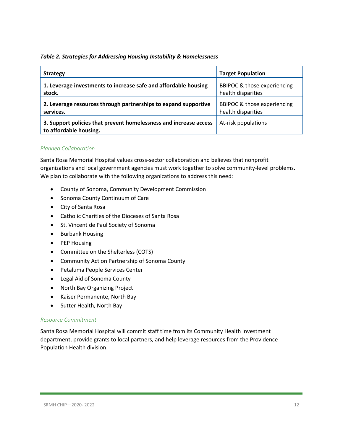#### *Table 2. Strategies for Addressing Housing Instability & Homelessness*

| <b>Strategy</b>                                                                             | <b>Target Population</b>    |
|---------------------------------------------------------------------------------------------|-----------------------------|
| 1. Leverage investments to increase safe and affordable housing                             | BBIPOC & those experiencing |
| stock.                                                                                      | health disparities          |
| 2. Leverage resources through partnerships to expand supportive                             | BBIPOC & those experiencing |
| services.                                                                                   | health disparities          |
| 3. Support policies that prevent homelessness and increase access<br>to affordable housing. | At-risk populations         |

#### *Planned Collaboration*

Santa Rosa Memorial Hospital values cross-sector collaboration and believes that nonprofit organizations and local government agencies must work together to solve community-level problems. We plan to collaborate with the following organizations to address this need:

- County of Sonoma, Community Development Commission
- Sonoma County Continuum of Care
- City of Santa Rosa
- Catholic Charities of the Dioceses of Santa Rosa
- St. Vincent de Paul Society of Sonoma
- Burbank Housing
- PEP Housing
- Committee on the Shelterless (COTS)
- Community Action Partnership of Sonoma County
- Petaluma People Services Center
- Legal Aid of Sonoma County
- North Bay Organizing Project
- Kaiser Permanente, North Bay
- Sutter Health, North Bay

#### *Resource Commitment*

Santa Rosa Memorial Hospital will commit staff time from its Community Health Investment department, provide grants to local partners, and help leverage resources from the Providence Population Health division.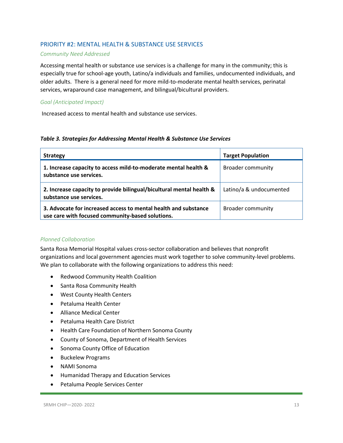#### PRIORITY #2: MENTAL HEALTH & SUBSTANCE USE SERVICES

#### *Community Need Addressed*

Accessing mental health or substance use services is a challenge for many in the community; this is especially true for school-age youth, Latino/a individuals and families, undocumented individuals, and older adults. There is a general need for more mild-to-moderate mental health services, perinatal services, wraparound case management, and bilingual/bicultural providers.

#### *Goal (Anticipated Impact)*

Increased access to mental health and substance use services.

#### *Table 3. Strategies for Addressing Mental Health & Substance Use Services*

| <b>Strategy</b>                                                                                                     | <b>Target Population</b> |
|---------------------------------------------------------------------------------------------------------------------|--------------------------|
| 1. Increase capacity to access mild-to-moderate mental health &<br>substance use services.                          | <b>Broader community</b> |
| 2. Increase capacity to provide bilingual/bicultural mental health &<br>substance use services.                     | Latino/a & undocumented  |
| 3. Advocate for increased access to mental health and substance<br>use care with focused community-based solutions. | <b>Broader community</b> |

#### *Planned Collaboration*

Santa Rosa Memorial Hospital values cross-sector collaboration and believes that nonprofit organizations and local government agencies must work together to solve community-level problems. We plan to collaborate with the following organizations to address this need:

- Redwood Community Health Coalition
- Santa Rosa Community Health
- West County Health Centers
- Petaluma Health Center
- Alliance Medical Center
- Petaluma Health Care District
- Health Care Foundation of Northern Sonoma County
- County of Sonoma, Department of Health Services
- Sonoma County Office of Education
- Buckelew Programs
- NAMI Sonoma
- Humanidad Therapy and Education Services
- Petaluma People Services Center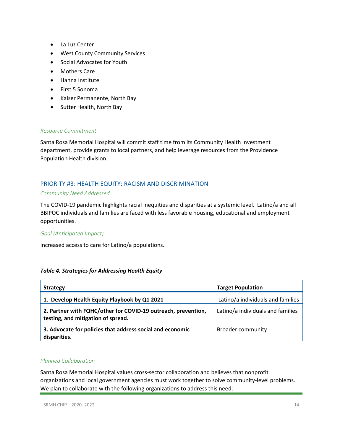- La Luz Center
- West County Community Services
- Social Advocates for Youth
- Mothers Care
- Hanna Institute
- First 5 Sonoma
- Kaiser Permanente, North Bay
- Sutter Health, North Bay

#### *Resource Commitment*

Santa Rosa Memorial Hospital will commit staff time from its Community Health Investment department, provide grants to local partners, and help leverage resources from the Providence Population Health division.

#### PRIORITY #3: HEALTH EQUITY: RACISM AND DISCRIMINATION

#### *Community Need Addressed*

The COVID-19 pandemic highlights racial inequities and disparities at a systemic level. Latino/a and all BBIPOC individuals and families are faced with less favorable housing, educational and employment opportunities.

#### *Goal (Anticipated Impact)*

Increased access to care for Latino/a populations.

#### *Table 4. Strategies for Addressing Health Equity*

| <b>Strategy</b>                                                                                     | <b>Target Population</b>          |
|-----------------------------------------------------------------------------------------------------|-----------------------------------|
| 1. Develop Health Equity Playbook by Q1 2021                                                        | Latino/a individuals and families |
| 2. Partner with FQHC/other for COVID-19 outreach, prevention,<br>testing, and mitigation of spread. | Latino/a individuals and families |
| 3. Advocate for policies that address social and economic<br>disparities.                           | <b>Broader community</b>          |

#### *Planned Collaboration*

Santa Rosa Memorial Hospital values cross-sector collaboration and believes that nonprofit organizations and local government agencies must work together to solve community-level problems. We plan to collaborate with the following organizations to address this need: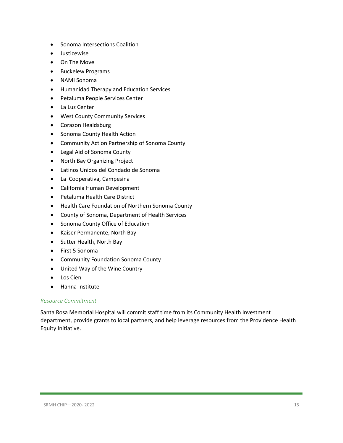- Sonoma Intersections Coalition
- Justicewise
- On The Move
- Buckelew Programs
- NAMI Sonoma
- Humanidad Therapy and Education Services
- Petaluma People Services Center
- La Luz Center
- West County Community Services
- Corazon Healdsburg
- Sonoma County Health Action
- Community Action Partnership of Sonoma County
- Legal Aid of Sonoma County
- North Bay Organizing Project
- Latinos Unidos del Condado de Sonoma
- La Cooperativa, Campesina
- California Human Development
- Petaluma Health Care District
- Health Care Foundation of Northern Sonoma County
- County of Sonoma, Department of Health Services
- Sonoma County Office of Education
- Kaiser Permanente, North Bay
- Sutter Health, North Bay
- First 5 Sonoma
- Community Foundation Sonoma County
- United Way of the Wine Country
- Los Cien
- Hanna Institute

#### *Resource Commitment*

Santa Rosa Memorial Hospital will commit staff time from its Community Health Investment department, provide grants to local partners, and help leverage resources from the Providence Health Equity Initiative.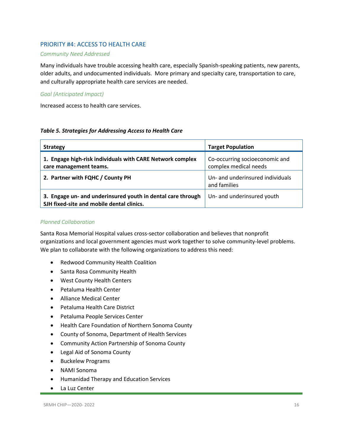#### PRIORITY #4: ACCESS TO HEALTH CARE

#### *Community Need Addressed*

Many individuals have trouble accessing health care, especially Spanish-speaking patients, new parents, older adults, and undocumented individuals. More primary and specialty care, transportation to care, and culturally appropriate health care services are needed.

#### *Goal (Anticipated Impact)*

Increased access to health care services.

#### *Table 5. Strategies for Addressing Access to Health Care*

| <b>Strategy</b>                                                                                          | <b>Target Population</b>                                |
|----------------------------------------------------------------------------------------------------------|---------------------------------------------------------|
| 1. Engage high-risk individuals with CARE Network complex<br>care management teams.                      | Co-occurring socioeconomic and<br>complex medical needs |
| 2. Partner with FQHC / County PH                                                                         | Un- and underinsured individuals<br>and families        |
| 3. Engage un- and underinsured youth in dental care through<br>SJH fixed-site and mobile dental clinics. | Un- and underinsured youth                              |

#### *Planned Collaboration*

Santa Rosa Memorial Hospital values cross-sector collaboration and believes that nonprofit organizations and local government agencies must work together to solve community-level problems. We plan to collaborate with the following organizations to address this need:

- Redwood Community Health Coalition
- Santa Rosa Community Health
- West County Health Centers
- Petaluma Health Center
- Alliance Medical Center
- Petaluma Health Care District
- Petaluma People Services Center
- Health Care Foundation of Northern Sonoma County
- County of Sonoma, Department of Health Services
- Community Action Partnership of Sonoma County
- Legal Aid of Sonoma County
- Buckelew Programs
- NAMI Sonoma
- Humanidad Therapy and Education Services
- La Luz Center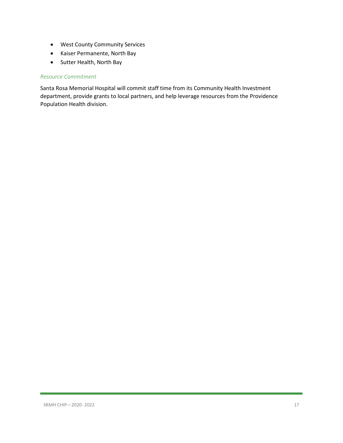- West County Community Services
- Kaiser Permanente, North Bay
- Sutter Health, North Bay

#### *Resource Commitment*

Santa Rosa Memorial Hospital will commit staff time from its Community Health Investment department, provide grants to local partners, and help leverage resources from the Providence Population Health division.